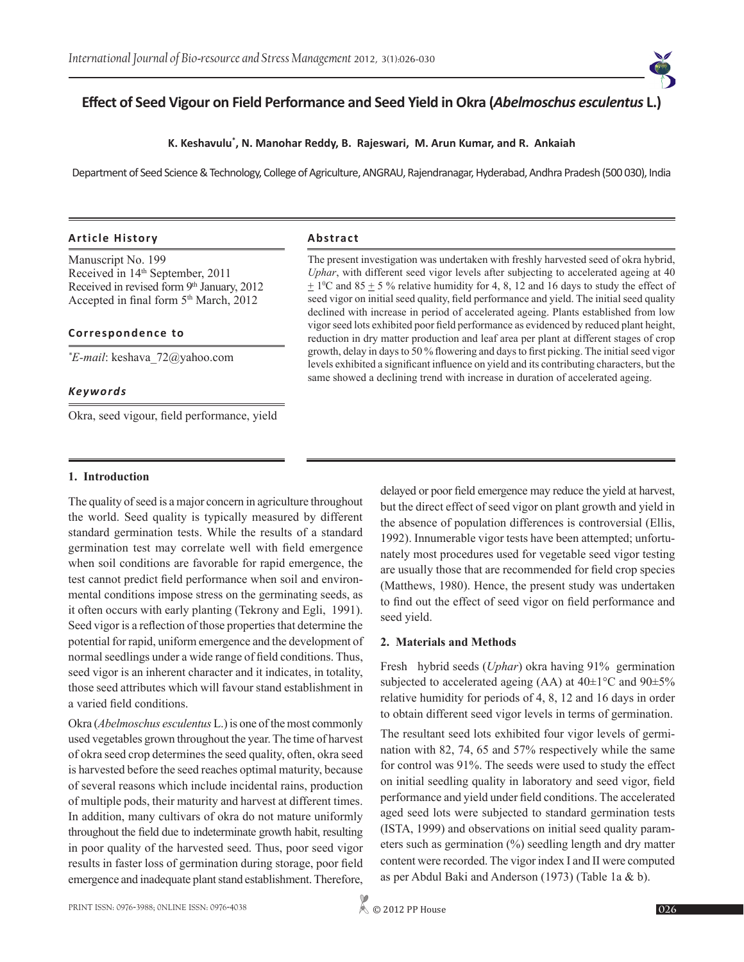# **Effect of Seed Vigour on Field Performance and Seed Yield in Okra (***Abelmoschus esculentus* **L.)**

#### **K. Keshavulu\* , N. Manohar Reddy, B. Rajeswari, M. Arun Kumar, and R. Ankaiah**

Department of Seed Science & Technology, College of Agriculture, ANGRAU, Rajendranagar, Hyderabad, Andhra Pradesh (500 030), India

#### **Article History Abstract**

Manuscript No. 199 Received in 14<sup>th</sup> September, 2011 Received in revised form 9<sup>th</sup> January, 2012 Accepted in final form 5<sup>th</sup> March, 2012

#### **Correspondence to**

*\* E-mail*: keshava\_72@yahoo.com

#### *Keywords*

Okra, seed vigour, field performance, yield

The present investigation was undertaken with freshly harvested seed of okra hybrid, *Uphar*, with different seed vigor levels after subjecting to accelerated ageing at 40  $\pm$  1<sup>o</sup>C and 85  $\pm$  5 % relative humidity for 4, 8, 12 and 16 days to study the effect of seed vigor on initial seed quality, field performance and yield. The initial seed quality declined with increase in period of accelerated ageing. Plants established from low vigor seed lots exhibited poor field performance as evidenced by reduced plant height, reduction in dry matter production and leaf area per plant at different stages of crop growth, delay in days to 50 % flowering and days to first picking. The initial seed vigor levels exhibited a significant influence on yield and its contributing characters, but the same showed a declining trend with increase in duration of accelerated ageing.

#### **1. Introduction**

The quality of seed is a major concern in agriculture throughout the world. Seed quality is typically measured by different standard germination tests. While the results of a standard germination test may correlate well with field emergence when soil conditions are favorable for rapid emergence, the test cannot predict field performance when soil and environmental conditions impose stress on the germinating seeds, as it often occurs with early planting (Tekrony and Egli, 1991). Seed vigor is a reflection of those properties that determine the potential for rapid, uniform emergence and the development of normal seedlings under a wide range of field conditions. Thus, seed vigor is an inherent character and it indicates, in totality, those seed attributes which will favour stand establishment in a varied field conditions.

Okra (*Abelmoschus esculentus* L.)is one of the most commonly used vegetables grown throughout the year. The time of harvest of okra seed crop determines the seed quality, often, okra seed is harvested before the seed reaches optimal maturity, because of several reasons which include incidental rains, production of multiple pods, their maturity and harvest at different times. In addition, many cultivars of okra do not mature uniformly throughout the field due to indeterminate growth habit, resulting in poor quality of the harvested seed. Thus, poor seed vigor results in faster loss of germination during storage, poor field emergence and inadequate plant stand establishment. Therefore,

delayed or poor field emergence may reduce the yield at harvest, but the direct effect of seed vigor on plant growth and yield in the absence of population differences is controversial (Ellis, 1992). Innumerable vigor tests have been attempted; unfortunately most procedures used for vegetable seed vigor testing are usually those that are recommended for field crop species (Matthews, 1980). Hence, the present study was undertaken to find out the effect of seed vigor on field performance and seed yield.

#### **2. Materials and Methods**

Fresh hybrid seeds (*Uphar*) okra having 91% germination subjected to accelerated ageing (AA) at  $40\pm1\degree C$  and  $90\pm5\%$ relative humidity for periods of 4, 8, 12 and 16 days in order to obtain different seed vigor levels in terms of germination.

The resultant seed lots exhibited four vigor levels of germination with 82, 74, 65 and 57% respectively while the same for control was 91%. The seeds were used to study the effect on initial seedling quality in laboratory and seed vigor, field performance and yield under field conditions. The accelerated aged seed lots were subjected to standard germination tests (ISTA, 1999) and observations on initial seed quality parameters such as germination (%) seedling length and dry matter content were recorded. The vigor index I and II were computed as per Abdul Baki and Anderson (1973) (Table 1a & b).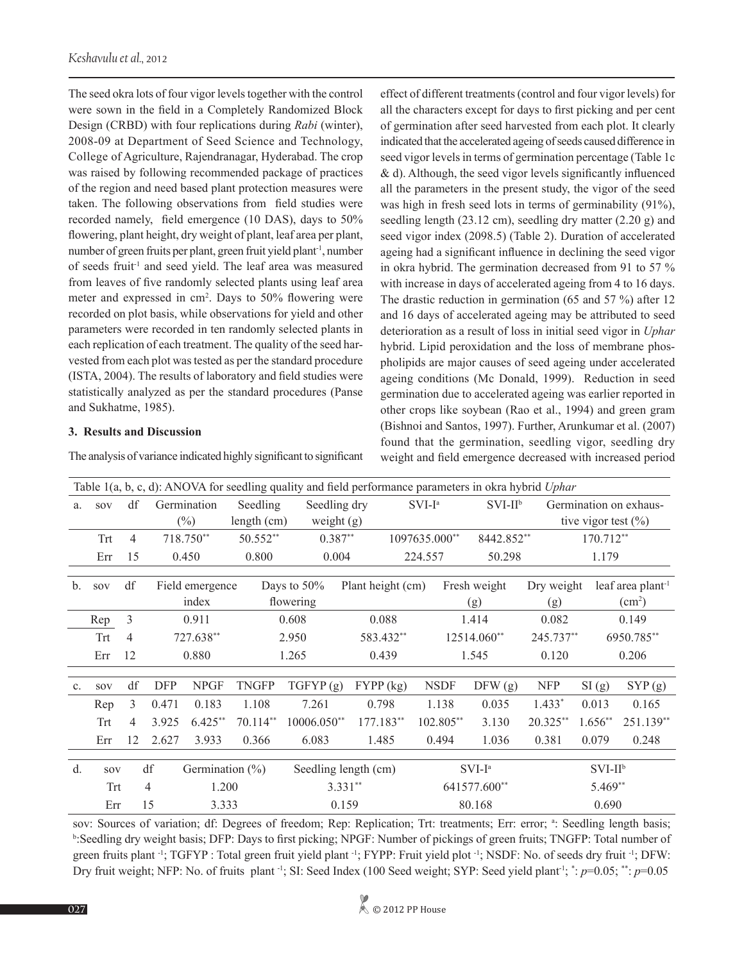The seed okra lots of four vigor levels together with the control were sown in the field in a Completely Randomized Block Design (CRBD) with four replications during *Rabi* (winter), 2008-09 at Department of Seed Science and Technology, College of Agriculture, Rajendranagar, Hyderabad. The crop was raised by following recommended package of practices of the region and need based plant protection measures were taken. The following observations from field studies were recorded namely, field emergence (10 DAS), days to 50% flowering, plant height, dry weight of plant, leaf area per plant, number of green fruits per plant, green fruit yield plant-1, number of seeds fruit<sup>-1</sup> and seed yield. The leaf area was measured from leaves of five randomly selected plants using leaf area meter and expressed in cm<sup>2</sup>. Days to 50% flowering were recorded on plot basis, while observations for yield and other parameters were recorded in ten randomly selected plants in each replication of each treatment. The quality of the seed harvested from each plot was tested as per the standard procedure (ISTA, 2004). The results of laboratory and field studies were statistically analyzed as per the standard procedures (Panse and Sukhatme, 1985).

### **3. Results and Discussion**

The analysis of variance indicated highly significant to significant

effect of different treatments (control and four vigor levels) for all the characters except for days to first picking and per cent of germination after seed harvested from each plot. It clearly indicated that the accelerated ageing of seeds caused difference in seed vigor levels in terms of germination percentage (Table 1c & d). Although, the seed vigor levels significantly influenced all the parameters in the present study, the vigor of the seed was high in fresh seed lots in terms of germinability (91%), seedling length (23.12 cm), seedling dry matter (2.20 g) and seed vigor index (2098.5) (Table 2). Duration of accelerated ageing had a significant influence in declining the seed vigor in okra hybrid. The germination decreased from 91 to 57 % with increase in days of accelerated ageing from 4 to 16 days. The drastic reduction in germination (65 and 57 %) after 12 and 16 days of accelerated ageing may be attributed to seed deterioration as a result of loss in initial seed vigor in *Uphar* hybrid. Lipid peroxidation and the loss of membrane phospholipids are major causes of seed ageing under accelerated ageing conditions (Mc Donald, 1999). Reduction in seed germination due to accelerated ageing was earlier reported in other crops like soybean (Rao et al., 1994) and green gram (Bishnoi and Santos, 1997). Further, Arunkumar et al. (2007) found that the germination, seedling vigor, seedling dry weight and field emergence decreased with increased period

|                | Table 1(a, b, c, d): ANOVA for seedling quality and field performance parameters in okra hybrid Uphar |    |                           |                          |                      |                          |                   |               |                     |                   |                         |                                                  |  |
|----------------|-------------------------------------------------------------------------------------------------------|----|---------------------------|--------------------------|----------------------|--------------------------|-------------------|---------------|---------------------|-------------------|-------------------------|--------------------------------------------------|--|
| a.             | SOV                                                                                                   | df |                           | Germination              | Seedling             | Seedling dry             |                   | $SVI-Ia$      | $SVI-IIb$           |                   |                         | Germination on exhaus-                           |  |
|                |                                                                                                       |    |                           | $(\%)$                   | length $(cm)$        | weight $(g)$             |                   |               |                     |                   | tive vigor test $(\% )$ |                                                  |  |
|                | Trt                                                                                                   | 4  |                           | 718.750**                | 50.552**             | $0.387**$                |                   | 1097635.000** | 8442.852**          |                   | 170.712**               |                                                  |  |
|                | Err                                                                                                   | 15 |                           | 0.450                    | 0.800                | 0.004                    |                   | 224.557       | 50.298              |                   | 1.179                   |                                                  |  |
| $\mathbf{b}$ . | <b>SOV</b>                                                                                            | df |                           | Field emergence<br>index |                      | Days to 50%<br>flowering | Plant height (cm) |               | Fresh weight<br>(g) | Dry weight<br>(g) |                         | leaf area plant <sup>-1</sup><br>$\text{cm}^2$ ) |  |
|                | Rep                                                                                                   | 3  |                           | 0.911                    |                      | 0.608                    | 0.088             |               | 1.414               | 0.082             |                         | 0.149                                            |  |
|                | Trt                                                                                                   | 4  |                           | 727.638**                |                      | 2.950                    | 583.432**         |               | 12514.060**         | 245.737**         |                         | 6950.785**                                       |  |
|                | Err                                                                                                   | 12 |                           | 0.880                    |                      | 1.265                    | 0.439             |               | 1.545               | 0.120             |                         | 0.206                                            |  |
| C <sub>1</sub> | SOV                                                                                                   | df | <b>DFP</b>                | <b>NPGF</b>              | <b>TNGFP</b>         | TGFYP(g)                 | FYPP (kg)         | <b>NSDF</b>   | DFW(g)              | <b>NFP</b>        | SI(g)                   | SYP(g)                                           |  |
|                | Rep                                                                                                   | 3  | 0.471                     | 0.183                    | 1.108                | 7.261                    | 0.798             | 1.138         | 0.035               | $1.433*$          | 0.013                   | 0.165                                            |  |
|                | <b>Trt</b>                                                                                            | 4  | 3.925                     | $6.425**$                | $70.114**$           | $10006.050**$            | 177.183**         | 102.805**     | 3.130               | 20.325**          | $1.656**$               | 251.139**                                        |  |
|                | Err                                                                                                   | 12 | 2.627                     | 3.933                    | 0.366                | 6.083                    | 1.485             | 0.494         | 1.036               | 0.381             | 0.079                   | 0.248                                            |  |
| d.             | SOV                                                                                                   |    | df<br>Germination $(\% )$ |                          | Seedling length (cm) |                          |                   | $SVI-Ia$      |                     | $SVI-IIb$         |                         |                                                  |  |
|                | <b>Trt</b>                                                                                            |    | 4                         | 1.200                    |                      | $3.331**$                |                   |               | 641577.600**        |                   | 5.469**                 |                                                  |  |
|                | 15<br>Err                                                                                             |    |                           | 3.333                    |                      | 0.159                    |                   |               | 80.168              |                   | 0.690                   |                                                  |  |

sov: Sources of variation; df: Degrees of freedom; Rep: Replication; Trt: treatments; Err: error; a: Seedling length basis; b :Seedling dry weight basis; DFP: Days to first picking; NPGF: Number of pickings of green fruits; TNGFP: Total number of green fruits plant <sup>-1</sup>; TGFYP : Total green fruit yield plant <sup>-1</sup>; FYPP: Fruit yield plot <sup>-1</sup>; NSDF: No. of seeds dry fruit <sup>-1</sup>; DFW: Dry fruit weight; NFP: No. of fruits plant<sup>-1</sup>; SI: Seed Index (100 Seed weight; SYP: Seed yield plant<sup>-1</sup>; \*: *p*=0.05; \*\*: *p*=0.05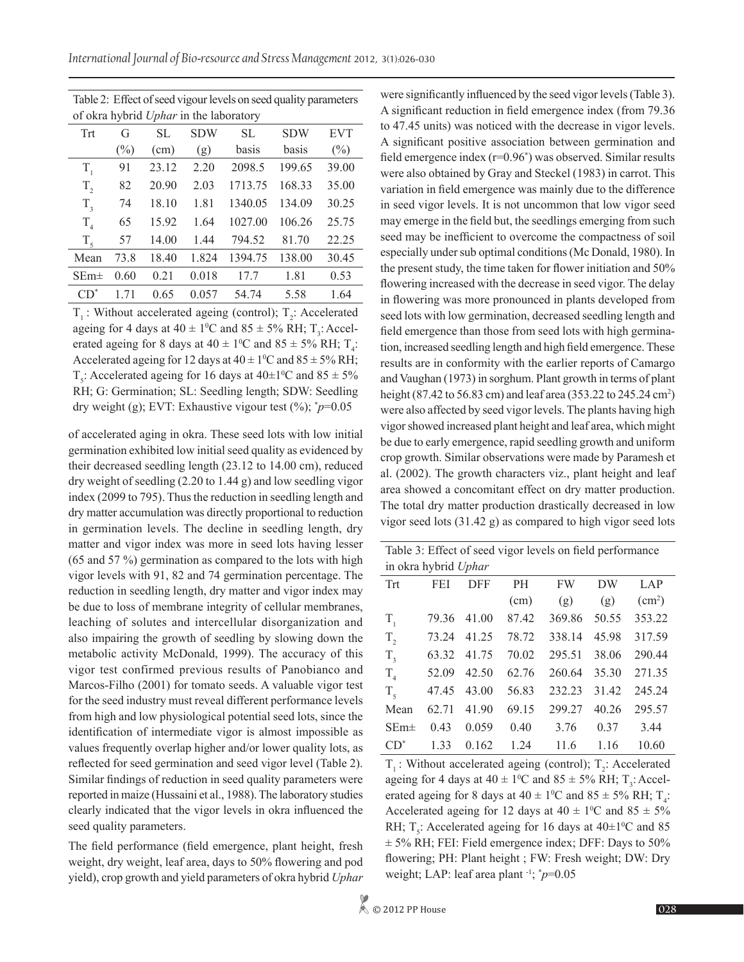Table 2: Effect of seed vigour levels on seed quality parameters of okra hybrid *Uphar* in the laboratory

| of okta hybrid <i>ophar</i> in the laboratory |        |       |            |           |            |            |  |  |  |
|-----------------------------------------------|--------|-------|------------|-----------|------------|------------|--|--|--|
| Trt<br>G                                      |        | SL    | <b>SDW</b> | <b>SL</b> | <b>SDW</b> | <b>EVT</b> |  |  |  |
|                                               | $(\%)$ | (cm)  | (g)        | basis     | basis      | $(\%)$     |  |  |  |
| $T_{1}$                                       | 91     | 23.12 | 2.20       | 2098.5    | 199.65     | 39.00      |  |  |  |
| $T_{2}$                                       | 82     | 20.90 | 2.03       | 1713.75   | 168.33     | 35.00      |  |  |  |
| $T_{3}$                                       | 74     | 18.10 | 1.81       | 1340.05   | 134.09     | 30.25      |  |  |  |
| T <sub>4</sub>                                | 65     | 15.92 | 1.64       | 1027.00   | 106.26     | 25.75      |  |  |  |
| $T_{\zeta}$                                   | 57     | 14.00 | 1.44       | 794.52    | 81.70      | 22.25      |  |  |  |
| Mean                                          | 73.8   | 18.40 | 1.824      | 1394.75   | 138.00     | 30.45      |  |  |  |
| $SEm\pm$                                      | 0.60   | 0.21  | 0.018      | 17.7      | 1.81       | 0.53       |  |  |  |
| $CD^*$                                        | 171    | 0.65  | 0.057      | 54.74     | 5.58       | 1.64       |  |  |  |

 $T_1$ : Without accelerated ageing (control);  $T_2$ : Accelerated ageing for 4 days at  $40 \pm 1$ <sup>o</sup>C and  $85 \pm 5$ % RH; T<sub>3</sub>: Accelerated ageing for 8 days at  $40 \pm 1^{\circ}\text{C}$  and  $85 \pm 5\% \text{ RH}$ ;  $T_4$ : Accelerated ageing for 12 days at  $40 \pm 1$ <sup>o</sup>C and  $85 \pm 5$ % RH;  $T_5$ : Accelerated ageing for 16 days at 40±1<sup>o</sup>C and 85 ± 5% RH; G: Germination; SL: Seedling length; SDW: Seedling dry weight (g); EVT: Exhaustive vigour test (%); \* *p*=0.05

of accelerated aging in okra. These seed lots with low initial germination exhibited low initial seed quality as evidenced by their decreased seedling length (23.12 to 14.00 cm), reduced dry weight of seedling (2.20 to 1.44 g) and low seedling vigor index (2099 to 795). Thus the reduction in seedling length and dry matter accumulation was directly proportional to reduction in germination levels. The decline in seedling length, dry matter and vigor index was more in seed lots having lesser (65 and 57 %) germination as compared to the lots with high vigor levels with 91, 82 and 74 germination percentage. The reduction in seedling length, dry matter and vigor index may be due to loss of membrane integrity of cellular membranes, leaching of solutes and intercellular disorganization and also impairing the growth of seedling by slowing down the metabolic activity McDonald, 1999). The accuracy of this vigor test confirmed previous results of Panobianco and Marcos-Filho (2001) for tomato seeds. A valuable vigor test for the seed industry must reveal different performance levels from high and low physiological potential seed lots, since the identification of intermediate vigor is almost impossible as values frequently overlap higher and/or lower quality lots, as reflected for seed germination and seed vigor level (Table 2). Similar findings of reduction in seed quality parameters were reported in maize (Hussaini et al., 1988). The laboratory studies clearly indicated that the vigor levels in okra influenced the seed quality parameters.

The field performance (field emergence, plant height, fresh weight, dry weight, leaf area, days to 50% flowering and pod yield), crop growth and yield parameters of okra hybrid *Uphar* were significantly influenced by the seed vigor levels (Table 3). A significant reduction in field emergence index (from 79.36 to 47.45 units) was noticed with the decrease in vigor levels. A significant positive association between germination and field emergence index (r=0.96\* ) was observed. Similar results were also obtained by Gray and Steckel (1983) in carrot. This variation in field emergence was mainly due to the difference in seed vigor levels. It is not uncommon that low vigor seed may emerge in the field but, the seedlings emerging from such seed may be inefficient to overcome the compactness of soil especially under sub optimal conditions (Mc Donald, 1980). In the present study, the time taken for flower initiation and 50% flowering increased with the decrease in seed vigor. The delay in flowering was more pronounced in plants developed from seed lots with low germination, decreased seedling length and field emergence than those from seed lots with high germination, increased seedling length and high field emergence. These results are in conformity with the earlier reports of Camargo and Vaughan (1973) in sorghum. Plant growth in terms of plant height (87.42 to 56.83 cm) and leaf area (353.22 to 245.24 cm<sup>2</sup>) were also affected by seed vigor levels. The plants having high vigor showed increased plant height and leaf area, which might be due to early emergence, rapid seedling growth and uniform crop growth. Similar observations were made by Paramesh et al. (2002). The growth characters viz., plant height and leaf area showed a concomitant effect on dry matter production. The total dry matter production drastically decreased in low vigor seed lots (31.42 g) as compared to high vigor seed lots

| Table 3: Effect of seed vigor levels on field performance |       |       |       |           |       |                    |  |  |  |
|-----------------------------------------------------------|-------|-------|-------|-----------|-------|--------------------|--|--|--|
| in okra hybrid Uphar                                      |       |       |       |           |       |                    |  |  |  |
| Trt                                                       | FEI   |       | PН    | <b>FW</b> | DW    | LAP                |  |  |  |
|                                                           |       |       | (cm)  | (g)       | (g)   | (cm <sup>2</sup> ) |  |  |  |
| $T_{1}$                                                   | 79.36 | 41.00 | 87.42 | 369.86    | 50.55 | 353.22             |  |  |  |
| $T_{2}$                                                   | 73.24 | 41.25 | 78.72 | 338.14    | 45.98 | 317.59             |  |  |  |
| $T_{\rm a}$                                               | 63.32 | 41.75 | 70.02 | 295.51    | 38.06 | 290.44             |  |  |  |
| $T_{\scriptscriptstyle A}$                                | 52.09 | 42.50 | 62.76 | 260.64    | 35.30 | 271.35             |  |  |  |
| T <sub>5</sub>                                            | 47.45 | 43.00 | 56.83 | 232.23    | 31.42 | 245.24             |  |  |  |
| Mean                                                      | 62.71 | 41.90 | 69.15 | 299.27    | 40.26 | 295.57             |  |  |  |
| $SEm\pm$                                                  | 0.43  | 0.059 | 0.40  | 3.76      | 0.37  | 3.44               |  |  |  |
| $CD^*$                                                    | 133   | 0.162 | 1.24  | 11.6      | 1.16  | 10.60              |  |  |  |

 $T_1$ : Without accelerated ageing (control);  $T_2$ : Accelerated ageing for 4 days at  $40 \pm 1^{\circ}\text{C}$  and  $85 \pm 5\% \text{ RH}$ ; T<sub>3</sub>: Accelerated ageing for 8 days at  $40 \pm 1^{\circ}$ C and  $85 \pm 5\%$  RH; T<sub>4</sub>: Accelerated ageing for 12 days at  $40 \pm 10^{\circ}$  c and  $85 \pm 5\%$ RH;  $T_s$ : Accelerated ageing for 16 days at  $40 \pm 1\degree$ C and 85  $\pm$  5% RH; FEI: Field emergence index; DFF: Days to 50% flowering; PH: Plant height ; FW: Fresh weight; DW: Dry weight; LAP: leaf area plant -1; \* *p*=0.05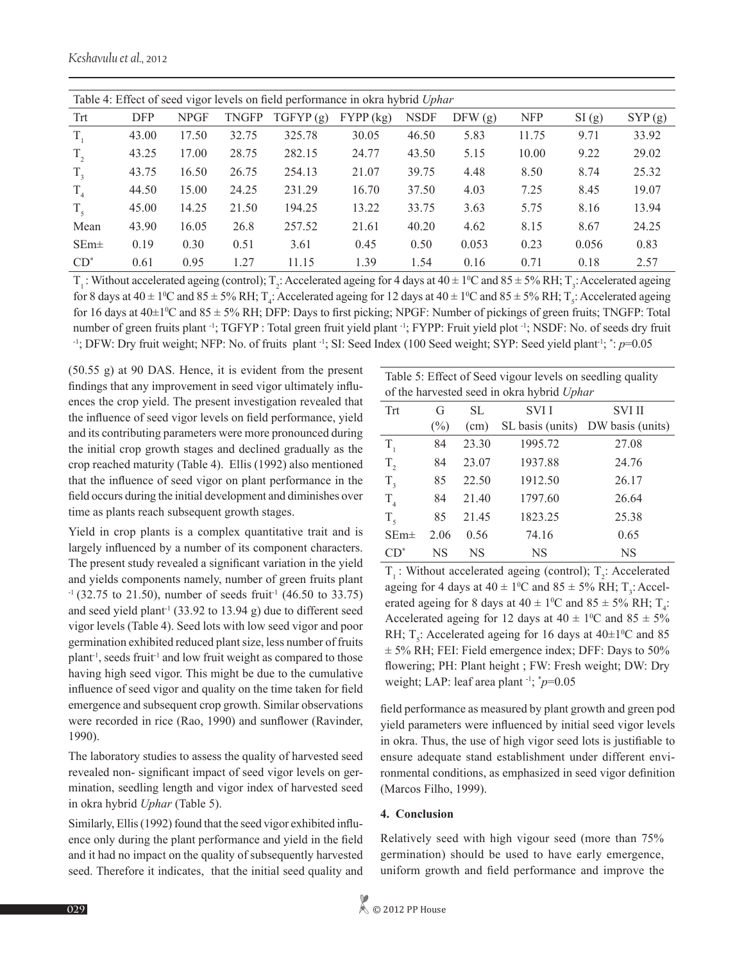*Keshavulu et al.,* 2012

| Table 4: Effect of seed vigor levels on field performance in okra hybrid Uphar |            |             |       |          |             |             |        |            |       |        |
|--------------------------------------------------------------------------------|------------|-------------|-------|----------|-------------|-------------|--------|------------|-------|--------|
| Trt                                                                            | <b>DFP</b> | <b>NPGF</b> | TNGFP | TGFYP(g) | $FYPP$ (kg) | <b>NSDF</b> | DFW(g) | <b>NFP</b> | SI(g) | SYP(g) |
| $T_{1}$                                                                        | 43.00      | 17.50       | 32.75 | 325.78   | 30.05       | 46.50       | 5.83   | 11.75      | 9.71  | 33.92  |
| $T_{2}$                                                                        | 43.25      | 17.00       | 28.75 | 282.15   | 24.77       | 43.50       | 5.15   | 10.00      | 9.22  | 29.02  |
| $T_{3}$                                                                        | 43.75      | 16.50       | 26.75 | 254.13   | 21.07       | 39.75       | 4.48   | 8.50       | 8.74  | 25.32  |
| $T_{4}$                                                                        | 44.50      | 15.00       | 24.25 | 231.29   | 16.70       | 37.50       | 4.03   | 7.25       | 8.45  | 19.07  |
| $T_{5}$                                                                        | 45.00      | 14.25       | 21.50 | 194.25   | 13.22       | 33.75       | 3.63   | 5.75       | 8.16  | 13.94  |
| Mean                                                                           | 43.90      | 16.05       | 26.8  | 257.52   | 21.61       | 40.20       | 4.62   | 8.15       | 8.67  | 24.25  |
| $SEm\pm$                                                                       | 0.19       | 0.30        | 0.51  | 3.61     | 0.45        | 0.50        | 0.053  | 0.23       | 0.056 | 0.83   |
| $CD^*$                                                                         | 0.61       | 0.95        | 1.27  | 11.15    | 1.39        | 1.54        | 0.16   | 0.71       | 0.18  | 2.57   |
|                                                                                |            |             |       |          |             |             |        |            |       |        |

 $T_1$ : Without accelerated ageing (control);  $T_2$ : Accelerated ageing for 4 days at 40  $\pm$  1°C and 85  $\pm$  5% RH;  $T_3$ : Accelerated ageing for 8 days at  $40 \pm 1$ <sup>o</sup>C and  $85 \pm 5$ % RH; T<sub>4</sub>: Accelerated ageing for 12 days at  $40 \pm 1$ <sup>o</sup>C and  $85 \pm 5$ % RH; T<sub>5</sub>: Accelerated ageing for 16 days at  $40\pm1\degree$ C and  $85\pm5\%$  RH; DFP: Days to first picking; NPGF: Number of pickings of green fruits; TNGFP: Total number of green fruits plant <sup>-1</sup>; TGFYP : Total green fruit yield plant <sup>-1</sup>; FYPP: Fruit yield plot <sup>-1</sup>; NSDF: No. of seeds dry fruit -1; DFW: Dry fruit weight; NFP: No. of fruits plant -1; SI: Seed Index (100 Seed weight; SYP: Seed yield plant-1; \* : *p*=0.05

(50.55 g) at 90 DAS. Hence, it is evident from the present findings that any improvement in seed vigor ultimately influences the crop yield. The present investigation revealed that the influence of seed vigor levels on field performance, yield and its contributing parameters were more pronounced during the initial crop growth stages and declined gradually as the crop reached maturity (Table 4). Ellis (1992) also mentioned that the influence of seed vigor on plant performance in the field occurs during the initial development and diminishes over time as plants reach subsequent growth stages.

Yield in crop plants is a complex quantitative trait and is largely influenced by a number of its component characters. The present study revealed a significant variation in the yield and yields components namely, number of green fruits plant  $-1$  (32.75 to 21.50), number of seeds fruit<sup>-1</sup> (46.50 to 33.75) and seed yield plant<sup>-1</sup> (33.92 to 13.94 g) due to different seed vigor levels (Table 4). Seed lots with low seed vigor and poor germination exhibited reduced plant size, less number of fruits plant-1, seeds fruit-1 and low fruit weight as compared to those having high seed vigor. This might be due to the cumulative influence of seed vigor and quality on the time taken for field emergence and subsequent crop growth. Similar observations were recorded in rice (Rao, 1990) and sunflower (Ravinder, 1990).

The laboratory studies to assess the quality of harvested seed revealed non- significant impact of seed vigor levels on germination, seedling length and vigor index of harvested seed in okra hybrid *Uphar* (Table 5).

Similarly, Ellis (1992) found that the seed vigor exhibited influence only during the plant performance and yield in the field and it had no impact on the quality of subsequently harvested seed. Therefore it indicates, that the initial seed quality and

| Table 5: Effect of Seed vigour levels on seedling quality |        |       |                  |                  |  |  |  |  |  |
|-----------------------------------------------------------|--------|-------|------------------|------------------|--|--|--|--|--|
| of the harvested seed in okra hybrid Uphar                |        |       |                  |                  |  |  |  |  |  |
| Trt                                                       | G      | SL.   | SVI I            | <b>SVI II</b>    |  |  |  |  |  |
|                                                           | $(\%)$ | (cm)  | SL basis (units) | DW basis (units) |  |  |  |  |  |
| $T_{1}$                                                   | 84     | 23.30 | 1995.72          | 27.08            |  |  |  |  |  |
| $T_{2}$                                                   | 84     | 23.07 | 1937.88          | 24.76            |  |  |  |  |  |
| $T_{3}$                                                   | 85     | 22.50 | 1912.50          | 26.17            |  |  |  |  |  |
| T <sub>4</sub>                                            | 84     | 21.40 | 1797.60          | 26.64            |  |  |  |  |  |
| $T_{\zeta}$                                               | 85     | 21.45 | 1823.25          | 25.38            |  |  |  |  |  |
| $SEm\pm$                                                  | 2.06   | 0.56  | 74.16            | 0.65             |  |  |  |  |  |
| $CD^*$                                                    | NS     | NS    | <b>NS</b>        | <b>NS</b>        |  |  |  |  |  |

 $T_1$ : Without accelerated ageing (control);  $T_2$ : Accelerated ageing for 4 days at  $40 \pm 1$ <sup>o</sup>C and  $85 \pm 5$ % RH; T<sub>3</sub>: Accelerated ageing for 8 days at  $40 \pm 1^{\circ}\text{C}$  and  $85 \pm 5\% \text{ RH}$ ;  $T_4$ : Accelerated ageing for 12 days at  $40 \pm 1^{\circ}$ C and  $85 \pm 5\%$ RH;  $T_s$ : Accelerated ageing for 16 days at 40 $\pm$ 1<sup>o</sup>C and 85  $\pm$  5% RH; FEI: Field emergence index; DFF: Days to 50% flowering; PH: Plant height ; FW: Fresh weight; DW: Dry weight; LAP: leaf area plant -1; \* *p*=0.05

field performance as measured by plant growth and green pod yield parameters were influenced by initial seed vigor levels in okra. Thus, the use of high vigor seed lots is justifiable to ensure adequate stand establishment under different environmental conditions, as emphasized in seed vigor definition (Marcos Filho, 1999).

#### **4. Conclusion**

Relatively seed with high vigour seed (more than 75% germination) should be used to have early emergence, uniform growth and field performance and improve the